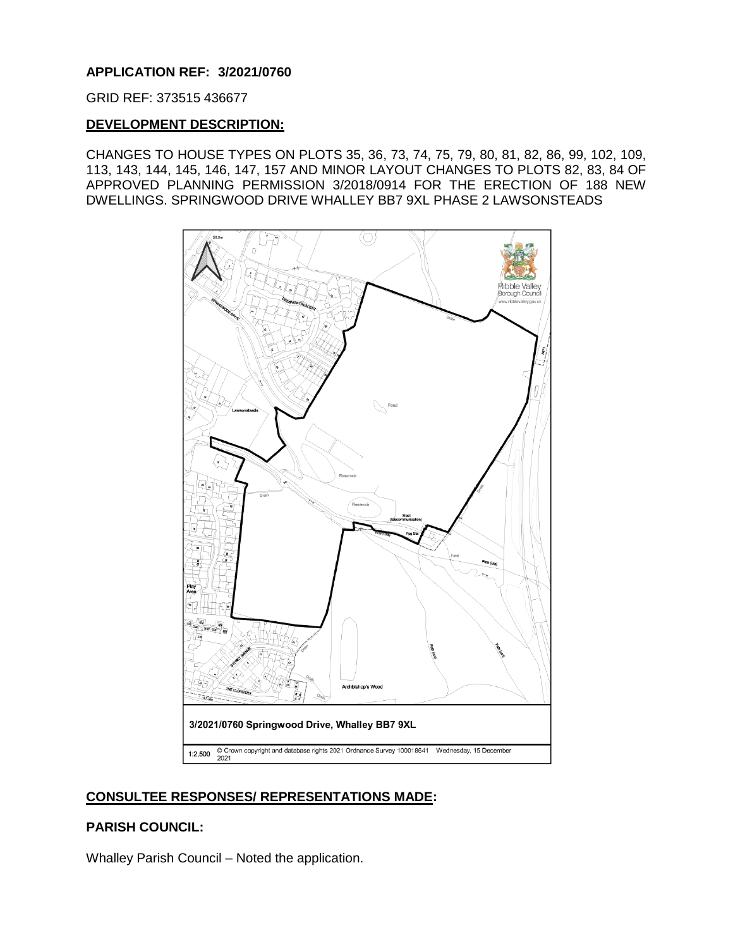## **APPLICATION REF: 3/2021/0760**

#### GRID REF: 373515 436677

#### **DEVELOPMENT DESCRIPTION:**

CHANGES TO HOUSE TYPES ON PLOTS 35, 36, 73, 74, 75, 79, 80, 81, 82, 86, 99, 102, 109, 113, 143, 144, 145, 146, 147, 157 AND MINOR LAYOUT CHANGES TO PLOTS 82, 83, 84 OF APPROVED PLANNING PERMISSION 3/2018/0914 FOR THE ERECTION OF 188 NEW DWELLINGS. SPRINGWOOD DRIVE WHALLEY BB7 9XL PHASE 2 LAWSONSTEADS



# **CONSULTEE RESPONSES/ REPRESENTATIONS MADE:**

### **PARISH COUNCIL:**

Whalley Parish Council – Noted the application.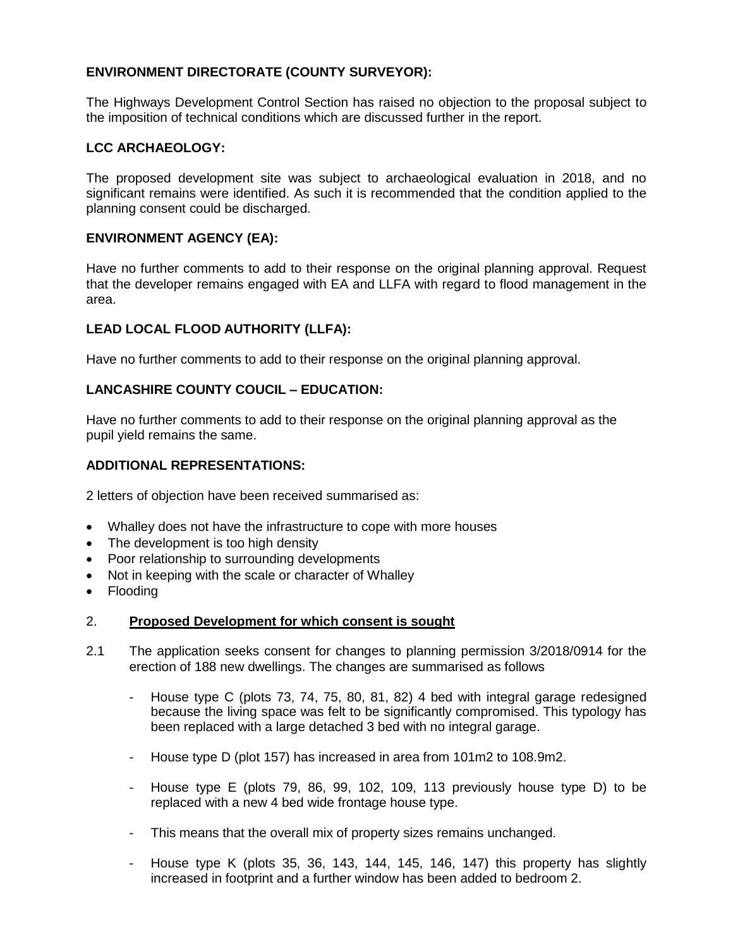# **ENVIRONMENT DIRECTORATE (COUNTY SURVEYOR):**

The Highways Development Control Section has raised no objection to the proposal subject to the imposition of technical conditions which are discussed further in the report.

# **LCC ARCHAEOLOGY:**

The proposed development site was subject to archaeological evaluation in 2018, and no significant remains were identified. As such it is recommended that the condition applied to the planning consent could be discharged.

## **ENVIRONMENT AGENCY (EA):**

Have no further comments to add to their response on the original planning approval. Request that the developer remains engaged with EA and LLFA with regard to flood management in the area.

# **LEAD LOCAL FLOOD AUTHORITY (LLFA):**

Have no further comments to add to their response on the original planning approval.

# **LANCASHIRE COUNTY COUCIL – EDUCATION:**

Have no further comments to add to their response on the original planning approval as the pupil yield remains the same.

## **ADDITIONAL REPRESENTATIONS:**

2 letters of objection have been received summarised as:

- Whalley does not have the infrastructure to cope with more houses
- The development is too high density
- Poor relationship to surrounding developments
- Not in keeping with the scale or character of Whalley
- Flooding

### 2. **Proposed Development for which consent is sought**

- 2.1 The application seeks consent for changes to planning permission 3/2018/0914 for the erection of 188 new dwellings. The changes are summarised as follows
	- House type C (plots 73, 74, 75, 80, 81, 82) 4 bed with integral garage redesigned because the living space was felt to be significantly compromised. This typology has been replaced with a large detached 3 bed with no integral garage.
	- House type D (plot 157) has increased in area from 101m2 to 108.9m2.
	- House type E (plots 79, 86, 99, 102, 109, 113 previously house type D) to be replaced with a new 4 bed wide frontage house type.
	- This means that the overall mix of property sizes remains unchanged.
	- House type K (plots 35, 36, 143, 144, 145, 146, 147) this property has slightly increased in footprint and a further window has been added to bedroom 2.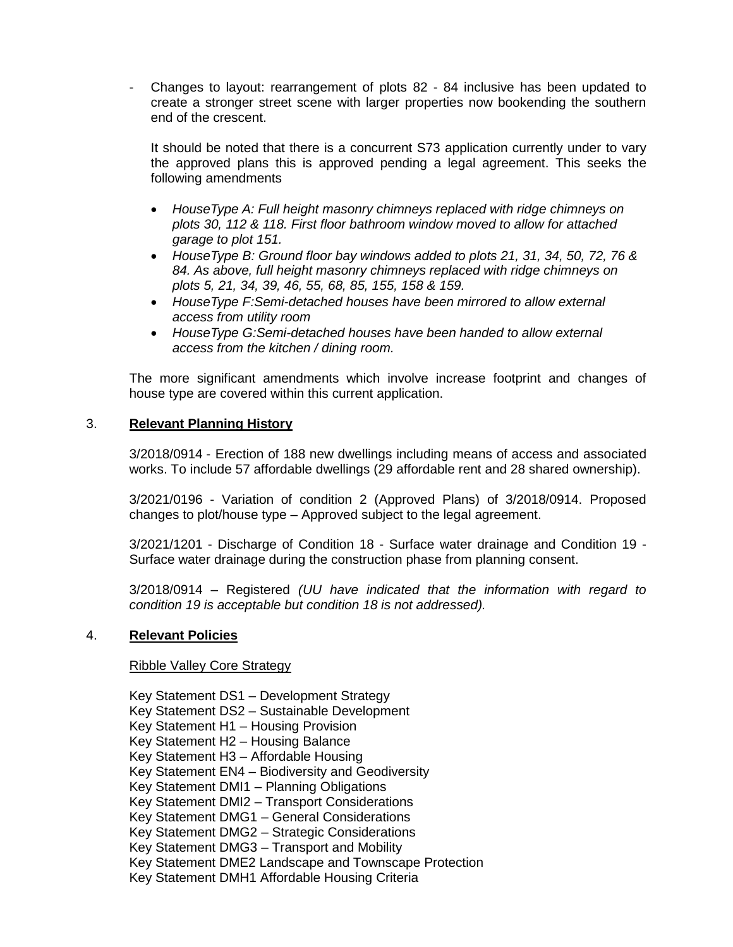- Changes to layout: rearrangement of plots 82 - 84 inclusive has been updated to create a stronger street scene with larger properties now bookending the southern end of the crescent.

It should be noted that there is a concurrent S73 application currently under to vary the approved plans this is approved pending a legal agreement. This seeks the following amendments

- *HouseType A: Full height masonry chimneys replaced with ridge chimneys on plots 30, 112 & 118. First floor bathroom window moved to allow for attached garage to plot 151.*
- *HouseType B: Ground floor bay windows added to plots 21, 31, 34, 50, 72, 76 & 84. As above, full height masonry chimneys replaced with ridge chimneys on plots 5, 21, 34, 39, 46, 55, 68, 85, 155, 158 & 159.*
- *HouseType F:Semi-detached houses have been mirrored to allow external access from utility room*
- *HouseType G:Semi-detached houses have been handed to allow external access from the kitchen / dining room.*

The more significant amendments which involve increase footprint and changes of house type are covered within this current application.

# 3. **Relevant Planning History**

3/2018/0914 - Erection of 188 new dwellings including means of access and associated works. To include 57 affordable dwellings (29 affordable rent and 28 shared ownership).

3/2021/0196 - Variation of condition 2 (Approved Plans) of 3/2018/0914. Proposed changes to plot/house type – Approved subject to the legal agreement.

3/2021/1201 - Discharge of Condition 18 - Surface water drainage and Condition 19 - Surface water drainage during the construction phase from planning consent.

3/2018/0914 – Registered *(UU have indicated that the information with regard to condition 19 is acceptable but condition 18 is not addressed).*

### 4. **Relevant Policies**

### Ribble Valley Core Strategy

Key Statement DS1 – Development Strategy Key Statement DS2 – Sustainable Development Key Statement H1 – Housing Provision Key Statement H2 – Housing Balance Key Statement H3 – Affordable Housing Key Statement EN4 – Biodiversity and Geodiversity Key Statement DMI1 – Planning Obligations Key Statement DMI2 – Transport Considerations Key Statement DMG1 – General Considerations Key Statement DMG2 – Strategic Considerations Key Statement DMG3 – Transport and Mobility Key Statement DME2 Landscape and Townscape Protection Key Statement DMH1 Affordable Housing Criteria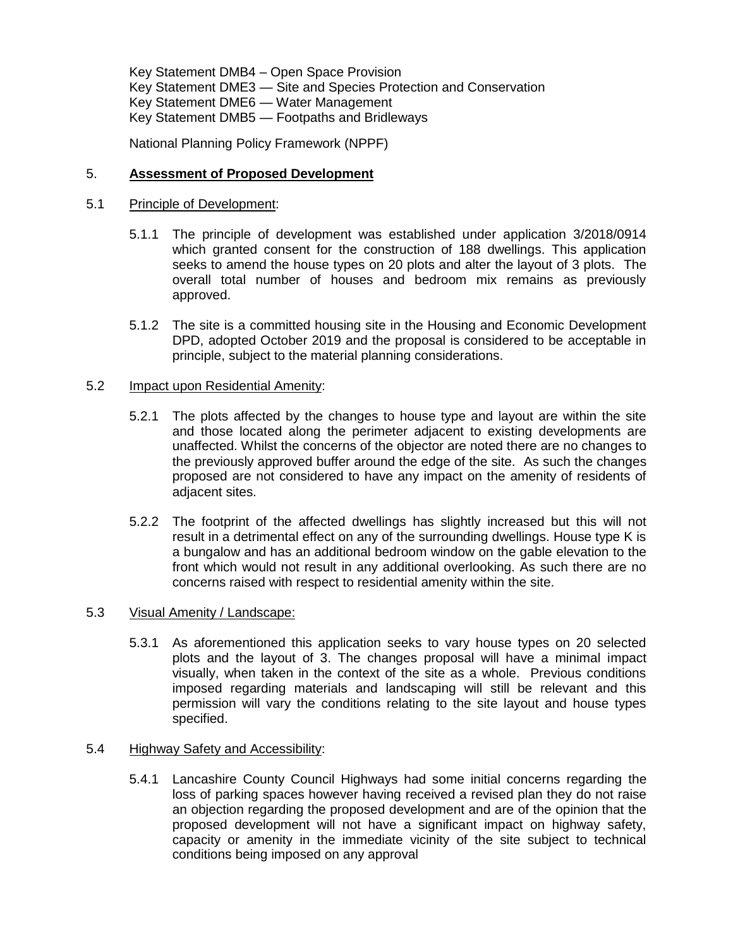Key Statement DMB4 – Open Space Provision Key Statement DME3 — Site and Species Protection and Conservation Key Statement DME6 — Water Management Key Statement DMB5 — Footpaths and Bridleways

National Planning Policy Framework (NPPF)

# 5. **Assessment of Proposed Development**

### 5.1 Principle of Development:

- 5.1.1 The principle of development was established under application 3/2018/0914 which granted consent for the construction of 188 dwellings. This application seeks to amend the house types on 20 plots and alter the layout of 3 plots. The overall total number of houses and bedroom mix remains as previously approved.
- 5.1.2 The site is a committed housing site in the Housing and Economic Development DPD, adopted October 2019 and the proposal is considered to be acceptable in principle, subject to the material planning considerations.

## 5.2 Impact upon Residential Amenity:

- 5.2.1 The plots affected by the changes to house type and layout are within the site and those located along the perimeter adjacent to existing developments are unaffected. Whilst the concerns of the objector are noted there are no changes to the previously approved buffer around the edge of the site. As such the changes proposed are not considered to have any impact on the amenity of residents of adjacent sites.
- 5.2.2 The footprint of the affected dwellings has slightly increased but this will not result in a detrimental effect on any of the surrounding dwellings. House type K is a bungalow and has an additional bedroom window on the gable elevation to the front which would not result in any additional overlooking. As such there are no concerns raised with respect to residential amenity within the site.

## 5.3 Visual Amenity / Landscape:

5.3.1 As aforementioned this application seeks to vary house types on 20 selected plots and the layout of 3. The changes proposal will have a minimal impact visually, when taken in the context of the site as a whole. Previous conditions imposed regarding materials and landscaping will still be relevant and this permission will vary the conditions relating to the site layout and house types specified.

# 5.4 Highway Safety and Accessibility:

5.4.1 Lancashire County Council Highways had some initial concerns regarding the loss of parking spaces however having received a revised plan they do not raise an objection regarding the proposed development and are of the opinion that the proposed development will not have a significant impact on highway safety, capacity or amenity in the immediate vicinity of the site subject to technical conditions being imposed on any approval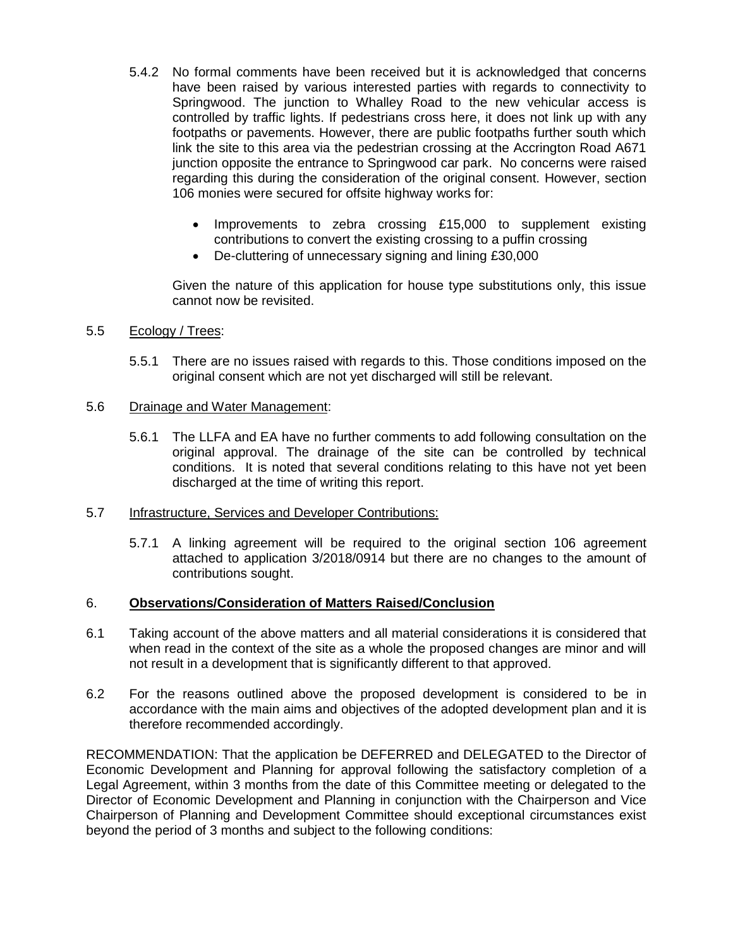- 5.4.2 No formal comments have been received but it is acknowledged that concerns have been raised by various interested parties with regards to connectivity to Springwood. The junction to Whalley Road to the new vehicular access is controlled by traffic lights. If pedestrians cross here, it does not link up with any footpaths or pavements. However, there are public footpaths further south which link the site to this area via the pedestrian crossing at the Accrington Road A671 junction opposite the entrance to Springwood car park. No concerns were raised regarding this during the consideration of the original consent. However, section 106 monies were secured for offsite highway works for:
	- Improvements to zebra crossing £15,000 to supplement existing contributions to convert the existing crossing to a puffin crossing
	- De-cluttering of unnecessary signing and lining £30,000

Given the nature of this application for house type substitutions only, this issue cannot now be revisited.

## 5.5 Ecology / Trees:

5.5.1 There are no issues raised with regards to this. Those conditions imposed on the original consent which are not yet discharged will still be relevant.

### 5.6 Drainage and Water Management:

5.6.1 The LLFA and EA have no further comments to add following consultation on the original approval. The drainage of the site can be controlled by technical conditions. It is noted that several conditions relating to this have not yet been discharged at the time of writing this report.

# 5.7 Infrastructure, Services and Developer Contributions:

5.7.1 A linking agreement will be required to the original section 106 agreement attached to application 3/2018/0914 but there are no changes to the amount of contributions sought.

### 6. **Observations/Consideration of Matters Raised/Conclusion**

- 6.1 Taking account of the above matters and all material considerations it is considered that when read in the context of the site as a whole the proposed changes are minor and will not result in a development that is significantly different to that approved.
- 6.2 For the reasons outlined above the proposed development is considered to be in accordance with the main aims and objectives of the adopted development plan and it is therefore recommended accordingly.

RECOMMENDATION: That the application be DEFERRED and DELEGATED to the Director of Economic Development and Planning for approval following the satisfactory completion of a Legal Agreement, within 3 months from the date of this Committee meeting or delegated to the Director of Economic Development and Planning in conjunction with the Chairperson and Vice Chairperson of Planning and Development Committee should exceptional circumstances exist beyond the period of 3 months and subject to the following conditions: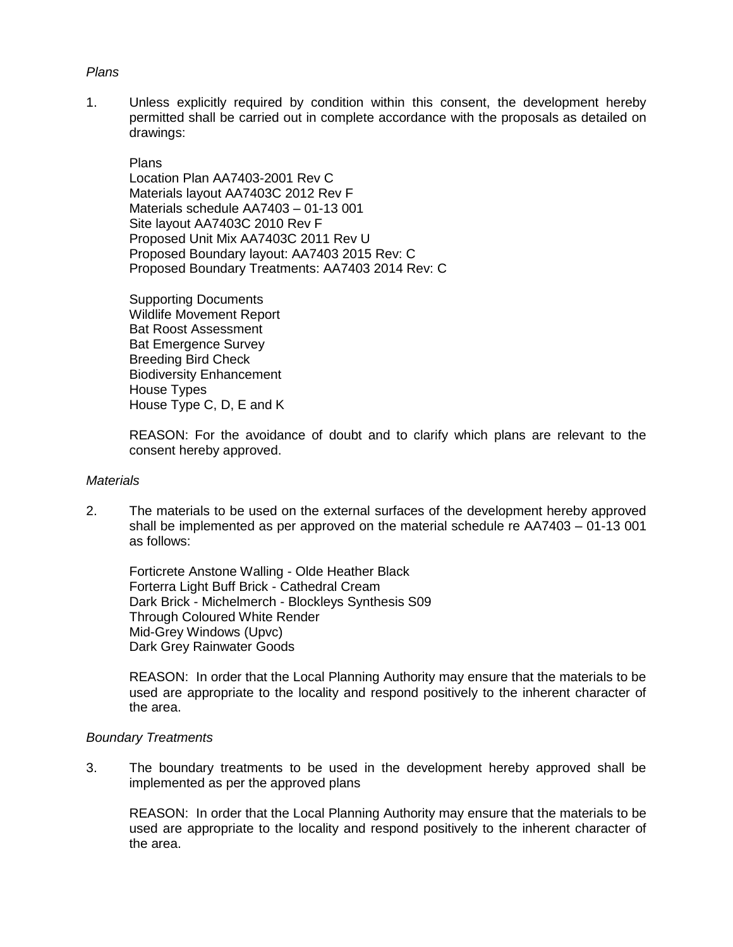## *Plans*

1. Unless explicitly required by condition within this consent, the development hereby permitted shall be carried out in complete accordance with the proposals as detailed on drawings:

#### Plans

Location Plan AA7403-2001 Rev C Materials layout AA7403C 2012 Rev F Materials schedule AA7403 – 01-13 001 Site layout AA7403C 2010 Rev F Proposed Unit Mix AA7403C 2011 Rev U Proposed Boundary layout: AA7403 2015 Rev: C Proposed Boundary Treatments: AA7403 2014 Rev: C

Supporting Documents Wildlife Movement Report Bat Roost Assessment Bat Emergence Survey Breeding Bird Check Biodiversity Enhancement House Types House Type C, D, E and K

REASON: For the avoidance of doubt and to clarify which plans are relevant to the consent hereby approved.

#### *Materials*

2. The materials to be used on the external surfaces of the development hereby approved shall be implemented as per approved on the material schedule re AA7403 – 01-13 001 as follows:

Forticrete Anstone Walling - Olde Heather Black Forterra Light Buff Brick - Cathedral Cream Dark Brick - Michelmerch - Blockleys Synthesis S09 Through Coloured White Render Mid-Grey Windows (Upvc) Dark Grey Rainwater Goods

REASON: In order that the Local Planning Authority may ensure that the materials to be used are appropriate to the locality and respond positively to the inherent character of the area.

### *Boundary Treatments*

3. The boundary treatments to be used in the development hereby approved shall be implemented as per the approved plans

REASON: In order that the Local Planning Authority may ensure that the materials to be used are appropriate to the locality and respond positively to the inherent character of the area.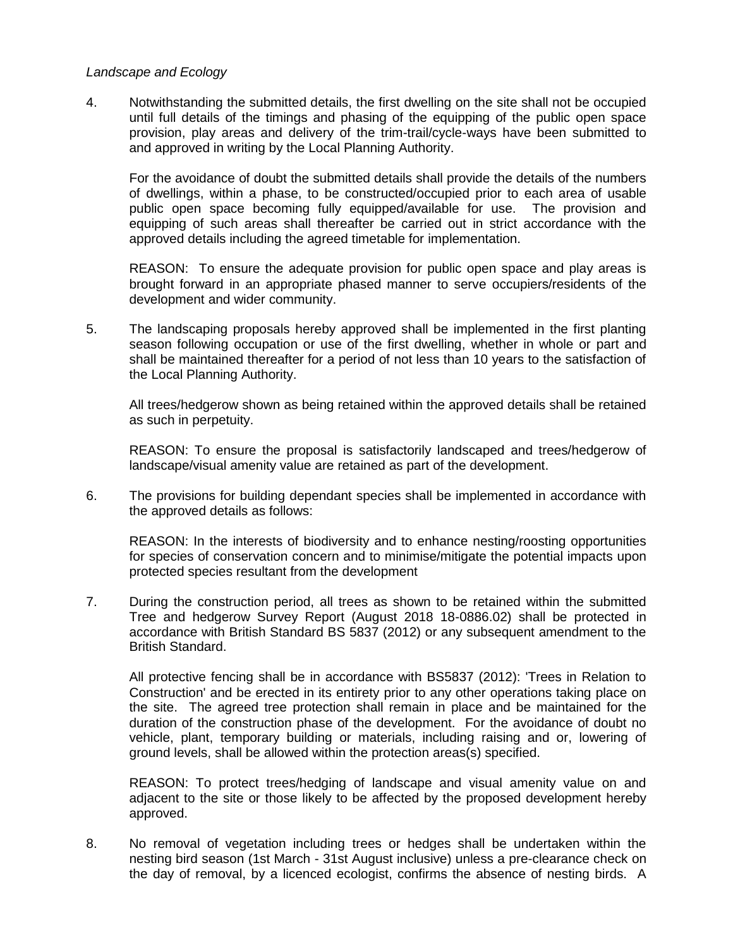### *Landscape and Ecology*

4. Notwithstanding the submitted details, the first dwelling on the site shall not be occupied until full details of the timings and phasing of the equipping of the public open space provision, play areas and delivery of the trim-trail/cycle-ways have been submitted to and approved in writing by the Local Planning Authority.

For the avoidance of doubt the submitted details shall provide the details of the numbers of dwellings, within a phase, to be constructed/occupied prior to each area of usable public open space becoming fully equipped/available for use. The provision and equipping of such areas shall thereafter be carried out in strict accordance with the approved details including the agreed timetable for implementation.

REASON: To ensure the adequate provision for public open space and play areas is brought forward in an appropriate phased manner to serve occupiers/residents of the development and wider community.

5. The landscaping proposals hereby approved shall be implemented in the first planting season following occupation or use of the first dwelling, whether in whole or part and shall be maintained thereafter for a period of not less than 10 years to the satisfaction of the Local Planning Authority.

All trees/hedgerow shown as being retained within the approved details shall be retained as such in perpetuity.

REASON: To ensure the proposal is satisfactorily landscaped and trees/hedgerow of landscape/visual amenity value are retained as part of the development.

6. The provisions for building dependant species shall be implemented in accordance with the approved details as follows:

REASON: In the interests of biodiversity and to enhance nesting/roosting opportunities for species of conservation concern and to minimise/mitigate the potential impacts upon protected species resultant from the development

7. During the construction period, all trees as shown to be retained within the submitted Tree and hedgerow Survey Report (August 2018 18-0886.02) shall be protected in accordance with British Standard BS 5837 (2012) or any subsequent amendment to the British Standard.

All protective fencing shall be in accordance with BS5837 (2012): 'Trees in Relation to Construction' and be erected in its entirety prior to any other operations taking place on the site. The agreed tree protection shall remain in place and be maintained for the duration of the construction phase of the development. For the avoidance of doubt no vehicle, plant, temporary building or materials, including raising and or, lowering of ground levels, shall be allowed within the protection areas(s) specified.

REASON: To protect trees/hedging of landscape and visual amenity value on and adjacent to the site or those likely to be affected by the proposed development hereby approved.

8. No removal of vegetation including trees or hedges shall be undertaken within the nesting bird season (1st March - 31st August inclusive) unless a pre-clearance check on the day of removal, by a licenced ecologist, confirms the absence of nesting birds. A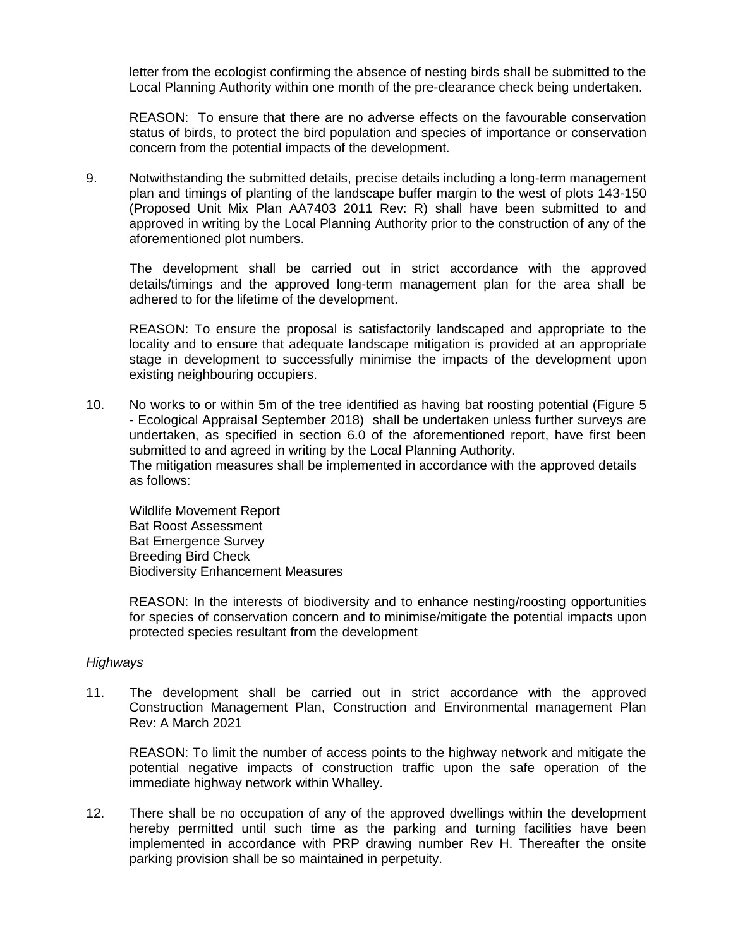letter from the ecologist confirming the absence of nesting birds shall be submitted to the Local Planning Authority within one month of the pre-clearance check being undertaken.

REASON: To ensure that there are no adverse effects on the favourable conservation status of birds, to protect the bird population and species of importance or conservation concern from the potential impacts of the development.

9. Notwithstanding the submitted details, precise details including a long-term management plan and timings of planting of the landscape buffer margin to the west of plots 143-150 (Proposed Unit Mix Plan AA7403 2011 Rev: R) shall have been submitted to and approved in writing by the Local Planning Authority prior to the construction of any of the aforementioned plot numbers.

The development shall be carried out in strict accordance with the approved details/timings and the approved long-term management plan for the area shall be adhered to for the lifetime of the development.

REASON: To ensure the proposal is satisfactorily landscaped and appropriate to the locality and to ensure that adequate landscape mitigation is provided at an appropriate stage in development to successfully minimise the impacts of the development upon existing neighbouring occupiers.

10. No works to or within 5m of the tree identified as having bat roosting potential (Figure 5 - Ecological Appraisal September 2018) shall be undertaken unless further surveys are undertaken, as specified in section 6.0 of the aforementioned report, have first been submitted to and agreed in writing by the Local Planning Authority. The mitigation measures shall be implemented in accordance with the approved details as follows:

Wildlife Movement Report Bat Roost Assessment Bat Emergence Survey Breeding Bird Check Biodiversity Enhancement Measures

REASON: In the interests of biodiversity and to enhance nesting/roosting opportunities for species of conservation concern and to minimise/mitigate the potential impacts upon protected species resultant from the development

### *Highways*

11. The development shall be carried out in strict accordance with the approved Construction Management Plan, Construction and Environmental management Plan Rev: A March 2021

REASON: To limit the number of access points to the highway network and mitigate the potential negative impacts of construction traffic upon the safe operation of the immediate highway network within Whalley.

12. There shall be no occupation of any of the approved dwellings within the development hereby permitted until such time as the parking and turning facilities have been implemented in accordance with PRP drawing number Rev H. Thereafter the onsite parking provision shall be so maintained in perpetuity.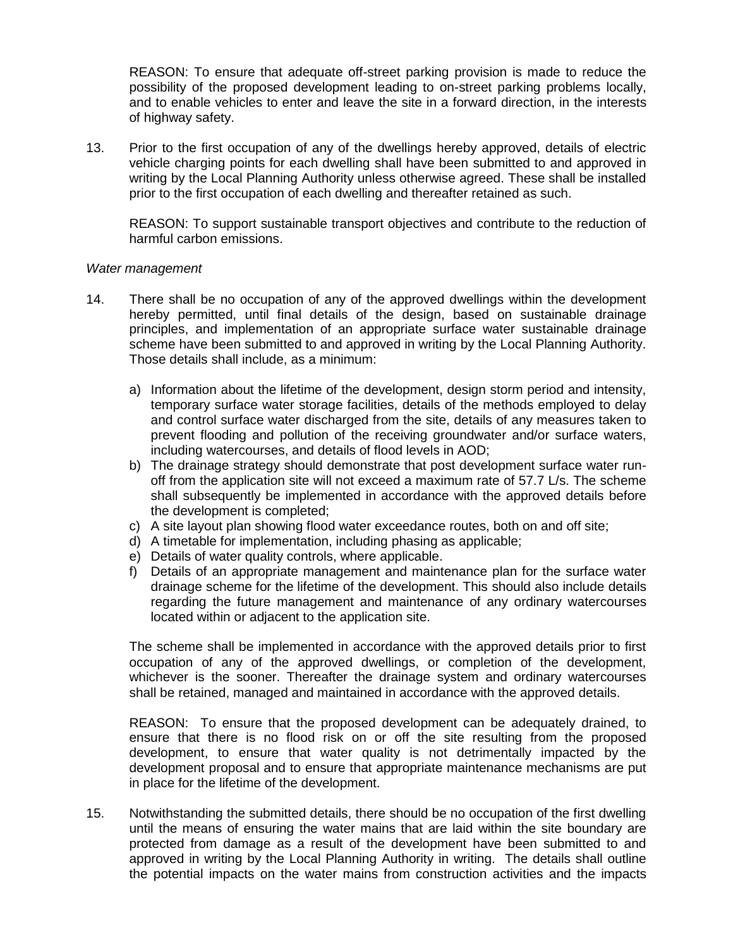REASON: To ensure that adequate off-street parking provision is made to reduce the possibility of the proposed development leading to on-street parking problems locally, and to enable vehicles to enter and leave the site in a forward direction, in the interests of highway safety.

13. Prior to the first occupation of any of the dwellings hereby approved, details of electric vehicle charging points for each dwelling shall have been submitted to and approved in writing by the Local Planning Authority unless otherwise agreed. These shall be installed prior to the first occupation of each dwelling and thereafter retained as such.

REASON: To support sustainable transport objectives and contribute to the reduction of harmful carbon emissions.

### *Water management*

- 14. There shall be no occupation of any of the approved dwellings within the development hereby permitted, until final details of the design, based on sustainable drainage principles, and implementation of an appropriate surface water sustainable drainage scheme have been submitted to and approved in writing by the Local Planning Authority. Those details shall include, as a minimum:
	- a) Information about the lifetime of the development, design storm period and intensity, temporary surface water storage facilities, details of the methods employed to delay and control surface water discharged from the site, details of any measures taken to prevent flooding and pollution of the receiving groundwater and/or surface waters, including watercourses, and details of flood levels in AOD;
	- b) The drainage strategy should demonstrate that post development surface water runoff from the application site will not exceed a maximum rate of 57.7 L/s. The scheme shall subsequently be implemented in accordance with the approved details before the development is completed;
	- c) A site layout plan showing flood water exceedance routes, both on and off site;
	- d) A timetable for implementation, including phasing as applicable;
	- e) Details of water quality controls, where applicable.
	- f) Details of an appropriate management and maintenance plan for the surface water drainage scheme for the lifetime of the development. This should also include details regarding the future management and maintenance of any ordinary watercourses located within or adjacent to the application site.

The scheme shall be implemented in accordance with the approved details prior to first occupation of any of the approved dwellings, or completion of the development, whichever is the sooner. Thereafter the drainage system and ordinary watercourses shall be retained, managed and maintained in accordance with the approved details.

REASON: To ensure that the proposed development can be adequately drained, to ensure that there is no flood risk on or off the site resulting from the proposed development, to ensure that water quality is not detrimentally impacted by the development proposal and to ensure that appropriate maintenance mechanisms are put in place for the lifetime of the development.

15. Notwithstanding the submitted details, there should be no occupation of the first dwelling until the means of ensuring the water mains that are laid within the site boundary are protected from damage as a result of the development have been submitted to and approved in writing by the Local Planning Authority in writing. The details shall outline the potential impacts on the water mains from construction activities and the impacts